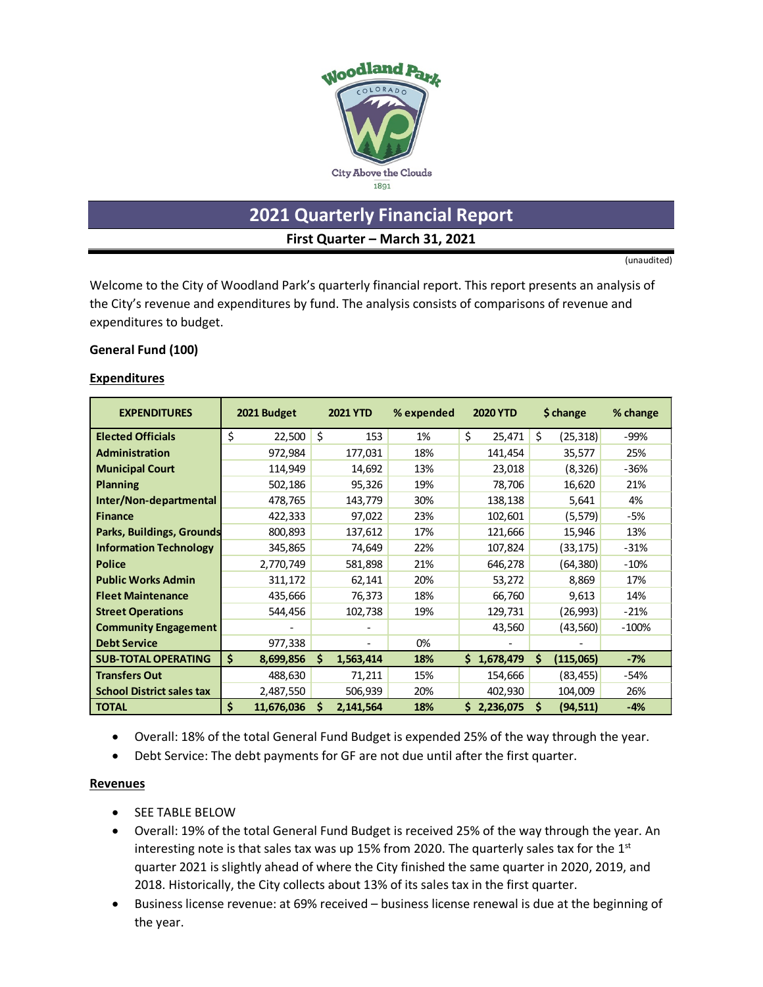

**2021 Quarterly Financial Report**

**First Quarter – March 31, 2021**

(unaudited)

Welcome to the City of Woodland Park's quarterly financial report. This report presents an analysis of the City's revenue and expenditures by fund. The analysis consists of comparisons of revenue and expenditures to budget.

#### **General Fund (100)**

#### **Expenditures**

| <b>EXPENDITURES</b>              | 2021 Budget      |    | <b>2021 YTD</b> | % expended |    | <b>2020 YTD</b> |    | \$ change | % change |
|----------------------------------|------------------|----|-----------------|------------|----|-----------------|----|-----------|----------|
| <b>Elected Officials</b>         | \$<br>22,500     | Ś. | 153             | 1%         | Ś. | 25,471          | \$ | (25, 318) | -99%     |
| <b>Administration</b>            | 972,984          |    | 177,031         | 18%        |    | 141,454         |    | 35,577    | 25%      |
| <b>Municipal Court</b>           | 114,949          |    | 14,692          | 13%        |    | 23,018          |    | (8, 326)  | $-36%$   |
| <b>Planning</b>                  | 502,186          |    | 95,326          | 19%        |    | 78,706          |    | 16,620    | 21%      |
| Inter/Non-departmental           | 478,765          |    | 143,779         | 30%        |    | 138,138         |    | 5,641     | 4%       |
| <b>Finance</b>                   | 422,333          |    | 97,022          | 23%        |    | 102,601         |    | (5, 579)  | -5%      |
| Parks, Buildings, Grounds        | 800,893          |    | 137,612         | 17%        |    | 121,666         |    | 15,946    | 13%      |
| <b>Information Technology</b>    | 345,865          |    | 74,649          | 22%        |    | 107,824         |    | (33, 175) | $-31%$   |
| <b>Police</b>                    | 2,770,749        |    | 581,898         | 21%        |    | 646,278         |    | (64, 380) | $-10%$   |
| <b>Public Works Admin</b>        | 311,172          |    | 62,141          | 20%        |    | 53,272          |    | 8,869     | 17%      |
| <b>Fleet Maintenance</b>         | 435,666          |    | 76,373          | 18%        |    | 66,760          |    | 9,613     | 14%      |
| <b>Street Operations</b>         | 544,456          |    | 102,738         | 19%        |    | 129,731         |    | (26,993)  | $-21%$   |
| <b>Community Engagement</b>      |                  |    |                 |            |    | 43,560          |    | (43,560)  | $-100%$  |
| <b>Debt Service</b>              | 977,338          |    |                 | 0%         |    |                 |    |           |          |
| <b>SUB-TOTAL OPERATING</b>       | Ś.<br>8,699,856  | S  | 1,563,414       | 18%        |    | \$1,678,479     | Ś  | (115,065) | $-7%$    |
| <b>Transfers Out</b>             | 488,630          |    | 71,211          | 15%        |    | 154,666         |    | (83, 455) | $-54%$   |
| <b>School District sales tax</b> | 2,487,550        |    | 506,939         | 20%        |    | 402,930         |    | 104,009   | 26%      |
| <b>TOTAL</b>                     | \$<br>11,676,036 | S  | 2,141,564       | 18%        | S. | 2,236,075       | Ś  | (94, 511) | $-4%$    |

- Overall: 18% of the total General Fund Budget is expended 25% of the way through the year.
- Debt Service: The debt payments for GF are not due until after the first quarter.

#### **Revenues**

- SEE TABLE BELOW
- Overall: 19% of the total General Fund Budget is received 25% of the way through the year. An interesting note is that sales tax was up 15% from 2020. The quarterly sales tax for the  $1<sup>st</sup>$ quarter 2021 is slightly ahead of where the City finished the same quarter in 2020, 2019, and 2018. Historically, the City collects about 13% of its sales tax in the first quarter.
- Business license revenue: at 69% received business license renewal is due at the beginning of the year.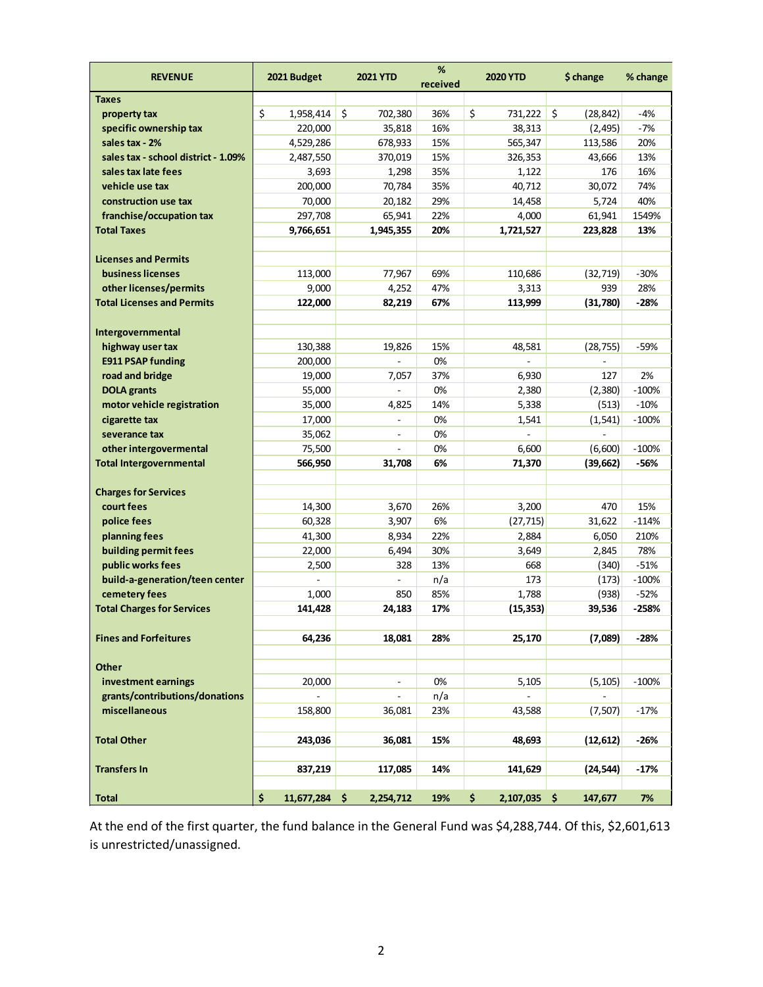| <b>REVENUE</b>                              | 2021 Budget           | <b>2021 YTD</b> | %<br>received | <b>2020 YTD</b>    | \$ change       | % change |
|---------------------------------------------|-----------------------|-----------------|---------------|--------------------|-----------------|----------|
| <b>Taxes</b>                                |                       |                 |               |                    |                 |          |
| property tax                                | \$<br>1,958,414       | \$<br>702,380   | 36%           | \$<br>731,222      | \$<br>(28, 842) | $-4%$    |
| specific ownership tax                      | 220,000               | 35,818          | 16%           | 38,313             | (2, 495)        | $-7%$    |
| sales tax - 2%                              | 4,529,286             | 678,933         | 15%           | 565,347            | 113,586         | 20%      |
| sales tax - school district - 1.09%         | 2,487,550             | 370,019         | 15%           | 326,353            | 43,666          | 13%      |
| sales tax late fees                         | 3,693                 | 1,298           | 35%           | 1,122              | 176             | 16%      |
| vehicle use tax                             | 200,000               | 70,784          | 35%           | 40,712             | 30,072          | 74%      |
| construction use tax                        | 70,000                | 20,182          | 29%           | 14,458             | 5,724           | 40%      |
| franchise/occupation tax                    | 297,708               | 65,941          | 22%           | 4,000              | 61,941          | 1549%    |
| <b>Total Taxes</b>                          | 9,766,651             | 1,945,355       | 20%           | 1,721,527          | 223,828         | 13%      |
|                                             |                       |                 |               |                    |                 |          |
| <b>Licenses and Permits</b>                 |                       |                 |               |                    |                 |          |
| business licenses                           | 113,000               | 77,967          | 69%           | 110,686            | (32, 719)       | $-30%$   |
| other licenses/permits                      | 9,000                 | 4,252           | 47%           | 3,313              | 939             | 28%      |
| <b>Total Licenses and Permits</b>           | 122,000               | 82,219          | 67%           | 113,999            | (31,780)        | $-28%$   |
|                                             |                       |                 |               |                    |                 |          |
| Intergovernmental                           |                       |                 |               |                    |                 |          |
| highway user tax                            | 130,388               | 19,826          | 15%           | 48,581             | (28, 755)       | -59%     |
| <b>E911 PSAP funding</b>                    | 200,000               |                 | 0%            |                    |                 |          |
| road and bridge                             | 19,000                | 7,057           | 37%           | 6,930              | 127             | 2%       |
| <b>DOLA</b> grants                          | 55,000                |                 | 0%            | 2,380              | (2,380)         | $-100%$  |
|                                             | 35,000                | 4,825           | 14%           | 5,338              | (513)           | $-10%$   |
| motor vehicle registration<br>cigarette tax |                       |                 | 0%            | 1,541              | (1, 541)        | $-100%$  |
|                                             | 17,000                |                 |               |                    |                 |          |
| severance tax                               | 35,062                |                 | 0%            |                    |                 |          |
| other intergovermental                      | 75,500                |                 | 0%            | 6,600              | (6,600)         | $-100%$  |
| <b>Total Intergovernmental</b>              | 566,950               | 31,708          | 6%            | 71,370             | (39, 662)       | -56%     |
|                                             |                       |                 |               |                    |                 |          |
| <b>Charges for Services</b>                 |                       |                 |               |                    |                 |          |
| court fees                                  | 14,300                | 3,670           | 26%           | 3,200              | 470             | 15%      |
| police fees                                 | 60,328                | 3,907           | 6%            | (27, 715)          | 31,622          | $-114%$  |
| planning fees                               | 41,300                | 8,934           | 22%           | 2,884              | 6,050           | 210%     |
| building permit fees                        | 22,000                | 6,494           | 30%           | 3,649              | 2,845           | 78%      |
| public works fees                           | 2,500                 | 328             | 13%           | 668                | (340)           | $-51%$   |
| build-a-generation/teen center              |                       |                 | n/a           | 173                | (173)           | $-100%$  |
| cemetery fees                               | 1,000                 | 850             | 85%           | 1,788              | (938)           | $-52%$   |
| <b>Total Charges for Services</b>           | 141,428               | 24,183          | 17%           | (15, 353)          | 39,536          | $-258%$  |
|                                             |                       |                 |               |                    |                 |          |
| <b>Fines and Forfeitures</b>                | 64,236                | 18,081          | 28%           | 25,170             | (7,089)         | $-28%$   |
|                                             |                       |                 |               |                    |                 |          |
| <b>Other</b>                                |                       |                 |               |                    |                 |          |
| investment earnings                         | 20,000                |                 | 0%            | 5,105              | (5, 105)        | $-100%$  |
| grants/contributions/donations              |                       |                 | n/a           |                    |                 |          |
| miscellaneous                               | 158,800               | 36,081          | 23%           | 43,588             | (7, 507)        | $-17%$   |
|                                             |                       |                 |               |                    |                 |          |
| <b>Total Other</b>                          | 243,036               | 36,081          | 15%           | 48,693             | (12, 612)       | $-26%$   |
|                                             |                       |                 |               |                    |                 |          |
| <b>Transfers In</b>                         | 837,219               | 117,085         | 14%           | 141,629            | (24, 544)       | $-17%$   |
|                                             |                       |                 |               |                    |                 |          |
| <b>Total</b>                                | \$<br>$11,677,284$ \$ | 2,254,712       | 19%           | \$<br>2,107,035 \$ | 147,677         | 7%       |

At the end of the first quarter, the fund balance in the General Fund was \$4,288,744. Of this, \$2,601,613 is unrestricted/unassigned.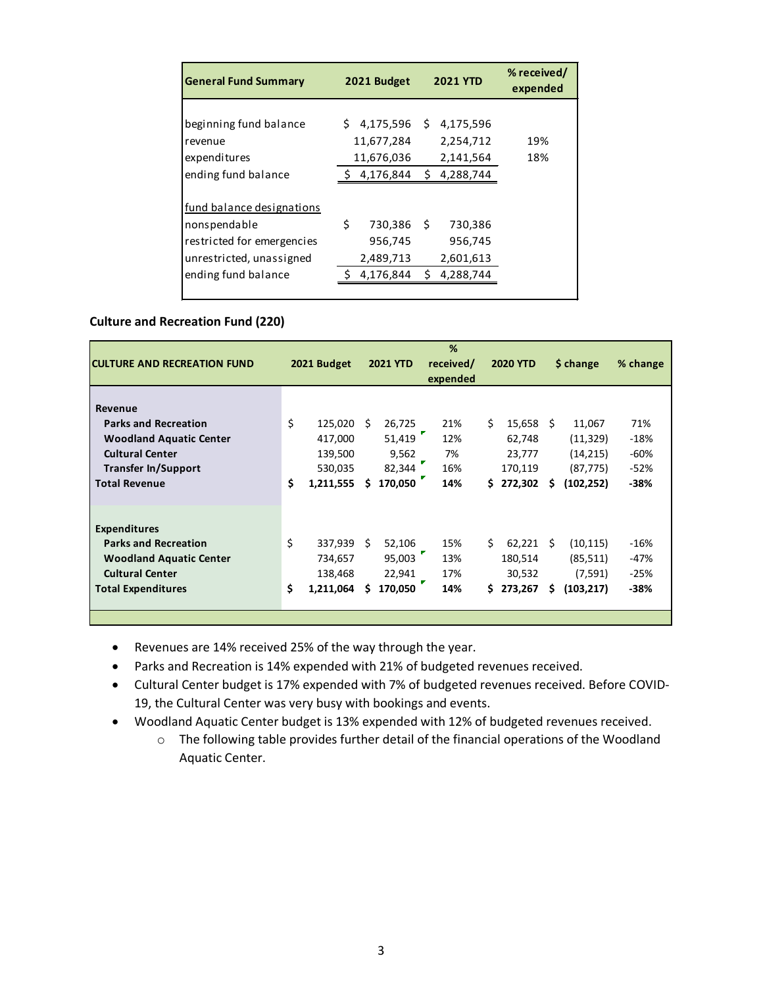| <b>General Fund Summary</b>                     | 2021 Budget                   |      | <b>2021 YTD</b>        | % received/<br>expended |
|-------------------------------------------------|-------------------------------|------|------------------------|-------------------------|
| beginning fund balance<br>Irevenue              | $$4,175,596$ \$<br>11,677,284 |      | 4,175,596<br>2,254,712 | 19%                     |
| expenditures<br>ending fund balance             | 11,676,036<br>4,176,844       | S.   | 2,141,564<br>4,288,744 | 18%                     |
| fund balance designations                       |                               |      |                        |                         |
| nonspendable<br>restricted for emergencies      | \$<br>730,386<br>956,745      | - \$ | 730,386<br>956,745     |                         |
| unrestricted, unassigned<br>ending fund balance | 2,489,713<br>4,176,844        | Ś.   | 2,601,613<br>4,288,744 |                         |

### **Culture and Recreation Fund (220)**

| <b>CULTURE AND RECREATION FUND</b>                                                                                                          |          | 2021 Budget                                   |         | <b>2021 YTD</b>                       | %<br>received/<br>expended |         | <b>2020 YTD</b>                        |         | \$ change                                        | % change                          |
|---------------------------------------------------------------------------------------------------------------------------------------------|----------|-----------------------------------------------|---------|---------------------------------------|----------------------------|---------|----------------------------------------|---------|--------------------------------------------------|-----------------------------------|
| Revenue<br><b>Parks and Recreation</b><br><b>Woodland Aquatic Center</b><br><b>Cultural Center</b><br><b>Transfer In/Support</b>            | \$       | $125,020$ \$<br>417,000<br>139,500<br>530,035 |         | 26,725<br>51,419<br>9,562<br>82,344   | 21%<br>12%<br>7%<br>16%    | Ś.      | 15,658<br>62,748<br>23,777<br>170,119  | Ŝ       | 11,067<br>(11, 329)<br>(14, 215)<br>(87, 775)    | 71%<br>$-18%$<br>$-60%$<br>$-52%$ |
| <b>Total Revenue</b>                                                                                                                        | Ś        | 1,211,555                                     | Ŝ       | 170.050                               | 14%                        | \$.     | 272,302                                | Ś       | (102, 252)                                       | $-38%$                            |
| <b>Expenditures</b><br><b>Parks and Recreation</b><br><b>Woodland Aquatic Center</b><br><b>Cultural Center</b><br><b>Total Expenditures</b> | \$<br>\$ | 337,939<br>734,657<br>138,468<br>1,211,064    | -S<br>s | 52,106<br>95,003<br>22,941<br>170,050 | 15%<br>13%<br>17%<br>14%   | Ś.<br>Ś | 62,221<br>180,514<br>30,532<br>273,267 | Ŝ.<br>s | (10, 115)<br>(85, 511)<br>(7, 591)<br>(103, 217) | $-16%$<br>-47%<br>$-25%$<br>-38%  |
|                                                                                                                                             |          |                                               |         |                                       |                            |         |                                        |         |                                                  |                                   |

- Revenues are 14% received 25% of the way through the year.
- Parks and Recreation is 14% expended with 21% of budgeted revenues received.
- Cultural Center budget is 17% expended with 7% of budgeted revenues received. Before COVID-19, the Cultural Center was very busy with bookings and events.
- Woodland Aquatic Center budget is 13% expended with 12% of budgeted revenues received.
	- o The following table provides further detail of the financial operations of the Woodland Aquatic Center.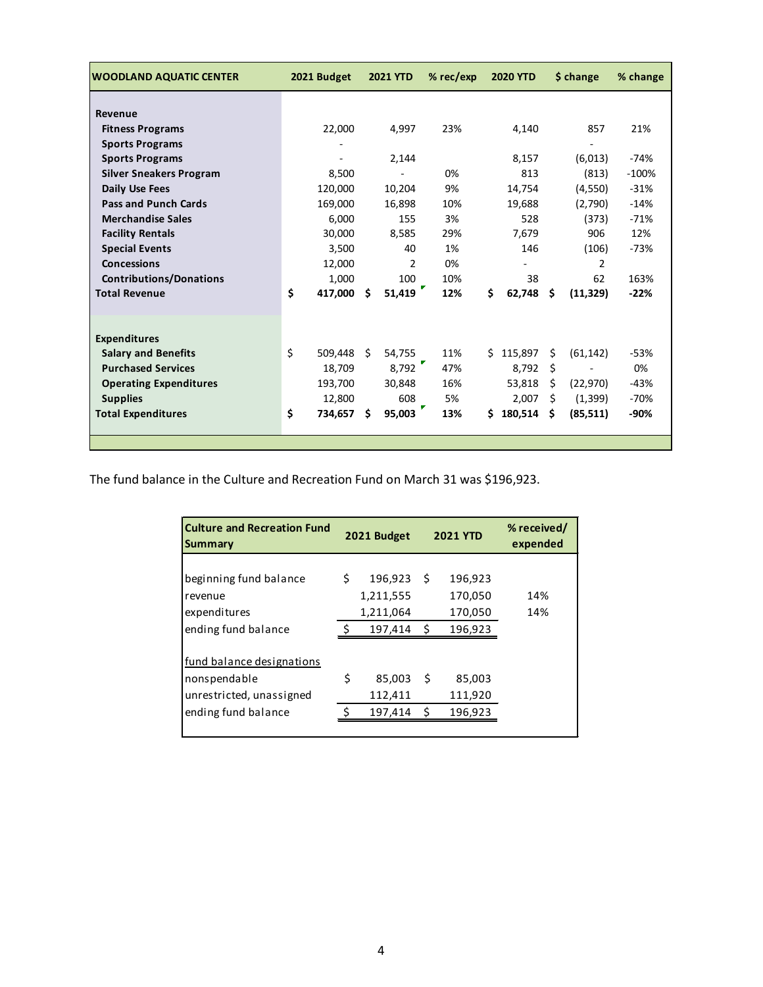| <b>WOODLAND AQUATIC CENTER</b> |    | 2021 Budget |    | <b>2021 YTD</b> | $%$ rec/exp |    | <b>2020 YTD</b> |    | \$ change | % change |
|--------------------------------|----|-------------|----|-----------------|-------------|----|-----------------|----|-----------|----------|
|                                |    |             |    |                 |             |    |                 |    |           |          |
| Revenue                        |    |             |    |                 |             |    |                 |    |           |          |
| <b>Fitness Programs</b>        |    | 22,000      |    | 4,997           | 23%         |    | 4,140           |    | 857       | 21%      |
| <b>Sports Programs</b>         |    |             |    |                 |             |    |                 |    |           |          |
| <b>Sports Programs</b>         |    |             |    | 2,144           |             |    | 8,157           |    | (6,013)   | $-74%$   |
| <b>Silver Sneakers Program</b> |    | 8,500       |    |                 | 0%          |    | 813             |    | (813)     | $-100%$  |
| <b>Daily Use Fees</b>          |    | 120,000     |    | 10,204          | 9%          |    | 14,754          |    | (4,550)   | $-31%$   |
| <b>Pass and Punch Cards</b>    |    | 169,000     |    | 16,898          | 10%         |    | 19,688          |    | (2,790)   | $-14%$   |
| <b>Merchandise Sales</b>       |    | 6,000       |    | 155             | 3%          |    | 528             |    | (373)     | $-71%$   |
| <b>Facility Rentals</b>        |    | 30,000      |    | 8,585           | 29%         |    | 7,679           |    | 906       | 12%      |
| <b>Special Events</b>          |    | 3,500       |    | 40              | 1%          |    | 146             |    | (106)     | $-73%$   |
| <b>Concessions</b>             |    | 12,000      |    | $\overline{2}$  | 0%          |    |                 |    | 2         |          |
| <b>Contributions/Donations</b> |    | 1,000       |    | 100             | 10%         |    | 38              |    | 62        | 163%     |
| <b>Total Revenue</b>           | Ś  | 417,000     | Ŝ  | 51,419          | 12%         | \$ | 62,748          | \$ | (11, 329) | $-22%$   |
|                                |    |             |    |                 |             |    |                 |    |           |          |
|                                |    |             |    |                 |             |    |                 |    |           |          |
| <b>Expenditures</b>            |    |             |    |                 |             |    |                 |    |           |          |
| <b>Salary and Benefits</b>     | \$ | 509,448     | S. | 54,755          | 11%         |    | \$115,897       | Ś  | (61, 142) | $-53%$   |
| <b>Purchased Services</b>      |    | 18,709      |    | 8,792           | 47%         |    | 8,792           | \$ |           | 0%       |
| <b>Operating Expenditures</b>  |    | 193,700     |    | 30,848          | 16%         |    | 53,818          | Ŝ. | (22, 970) | $-43%$   |
| <b>Supplies</b>                |    | 12,800      |    | 608             | 5%          |    | 2,007           | Ŝ. | (1, 399)  | $-70%$   |
| <b>Total Expenditures</b>      | \$ | 734,657     | Ŝ. | 95,003          | 13%         | Ś. | 180,514         | \$ | (85, 511) | -90%     |
|                                |    |             |    |                 |             |    |                 |    |           |          |
|                                |    |             |    |                 |             |    |                 |    |           |          |

The fund balance in the Culture and Recreation Fund on March 31 was \$196,923.

| <b>Culture and Recreation Fund</b><br>Summary                                                | 2021 Budget |                                              |            | <b>2021 YTD</b>                          | % received/<br>expended |
|----------------------------------------------------------------------------------------------|-------------|----------------------------------------------|------------|------------------------------------------|-------------------------|
| beginning fund balance<br>revenue<br>expenditures<br>ending fund balance                     | \$<br>Ś.    | 196,923<br>1,211,555<br>1,211,064<br>197,414 | - \$<br>Ś. | 196,923<br>170,050<br>170,050<br>196,923 | 14%<br>14%              |
| fund balance designations<br>nonspendable<br>unrestricted, unassigned<br>ending fund balance | \$<br>Ś     | 85,003<br>112,411<br>197,414                 | S.<br>\$   | 85,003<br>111,920<br>196,923             |                         |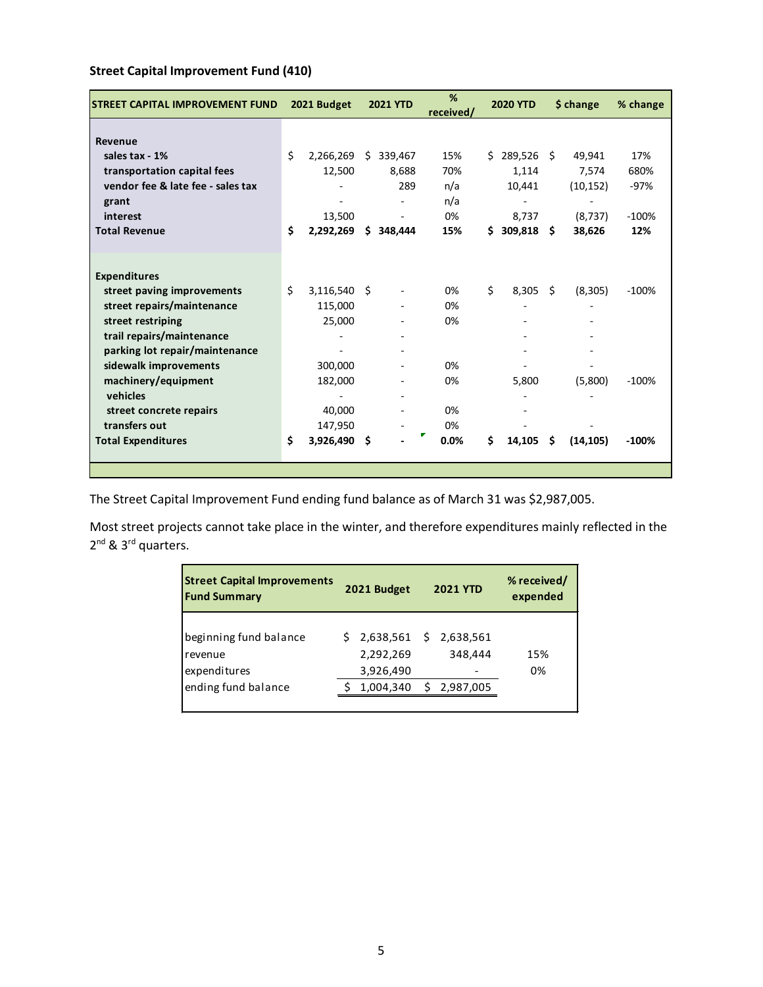| <b>ISTREET CAPITAL IMPROVEMENT FUND</b> |    | 2021 Budget    |    | <b>2021 YTD</b>          | %<br>received/ |    | <b>2020 YTD</b> |      | \$ change | % change |
|-----------------------------------------|----|----------------|----|--------------------------|----------------|----|-----------------|------|-----------|----------|
|                                         |    |                |    |                          |                |    |                 |      |           |          |
| Revenue                                 |    |                |    |                          |                |    |                 |      |           |          |
| sales tax - 1%                          | \$ | 2,266,269      | S. | 339,467                  | 15%            | Ś. | 289,526         | - \$ | 49,941    | 17%      |
| transportation capital fees             |    | 12,500         |    | 8,688                    | 70%            |    | 1,114           |      | 7,574     | 680%     |
| vendor fee & late fee - sales tax       |    |                |    | 289                      | n/a            |    | 10,441          |      | (10, 152) | $-97%$   |
| grant                                   |    |                |    |                          | n/a            |    |                 |      |           |          |
| interest                                |    | 13,500         |    | $\overline{\phantom{a}}$ | 0%             |    | 8,737           |      | (8,737)   | $-100%$  |
| <b>Total Revenue</b>                    | \$ | 2,292,269      |    | \$348,444                | 15%            | Ś. | 309,818         | -S   | 38,626    | 12%      |
|                                         |    |                |    |                          |                |    |                 |      |           |          |
|                                         |    |                |    |                          |                |    |                 |      |           |          |
| <b>Expenditures</b>                     |    |                |    |                          |                |    |                 |      |           |          |
| street paving improvements              | Ś. | $3,116,540$ \$ |    |                          | 0%             | \$ | 8,305           | - \$ | (8,305)   | $-100%$  |
| street repairs/maintenance              |    | 115,000        |    |                          | 0%             |    |                 |      |           |          |
| street restriping                       |    | 25,000         |    |                          | 0%             |    |                 |      |           |          |
| trail repairs/maintenance               |    |                |    |                          |                |    |                 |      |           |          |
| parking lot repair/maintenance          |    |                |    | ٠                        |                |    |                 |      |           |          |
| sidewalk improvements                   |    | 300,000        |    | $\overline{\phantom{0}}$ | 0%             |    |                 |      |           |          |
| machinery/equipment                     |    | 182,000        |    | -                        | 0%             |    | 5,800           |      | (5,800)   | $-100%$  |
| vehicles                                |    |                |    |                          |                |    |                 |      |           |          |
| street concrete repairs                 |    | 40,000         |    |                          | 0%             |    |                 |      |           |          |
| transfers out                           |    | 147,950        |    |                          | 0%             |    |                 |      |           |          |
| <b>Total Expenditures</b>               | Ś  | 3,926,490 \$   |    |                          | 0.0%           | \$ | 14,105          | \$   | (14, 105) | $-100%$  |
|                                         |    |                |    |                          |                |    |                 |      |           |          |
|                                         |    |                |    |                          |                |    |                 |      |           |          |

## **Street Capital Improvement Fund (410)**

The Street Capital Improvement Fund ending fund balance as of March 31 was \$2,987,005.

Most street projects cannot take place in the winter, and therefore expenditures mainly reflected in the 2<sup>nd</sup> & 3<sup>rd</sup> quarters.

| <b>Street Capital Improvements</b><br><b>Fund Summary</b>                | 2021 Budget                                      | <b>2021 YTD</b>                          | % received/<br>expended |
|--------------------------------------------------------------------------|--------------------------------------------------|------------------------------------------|-------------------------|
| beginning fund balance<br>revenue<br>expenditures<br>ending fund balance | 2,638,561<br>2,292,269<br>3,926,490<br>1,004,340 | \$2,638,561<br>348,444<br>2,987,005<br>S | 15%<br>0%               |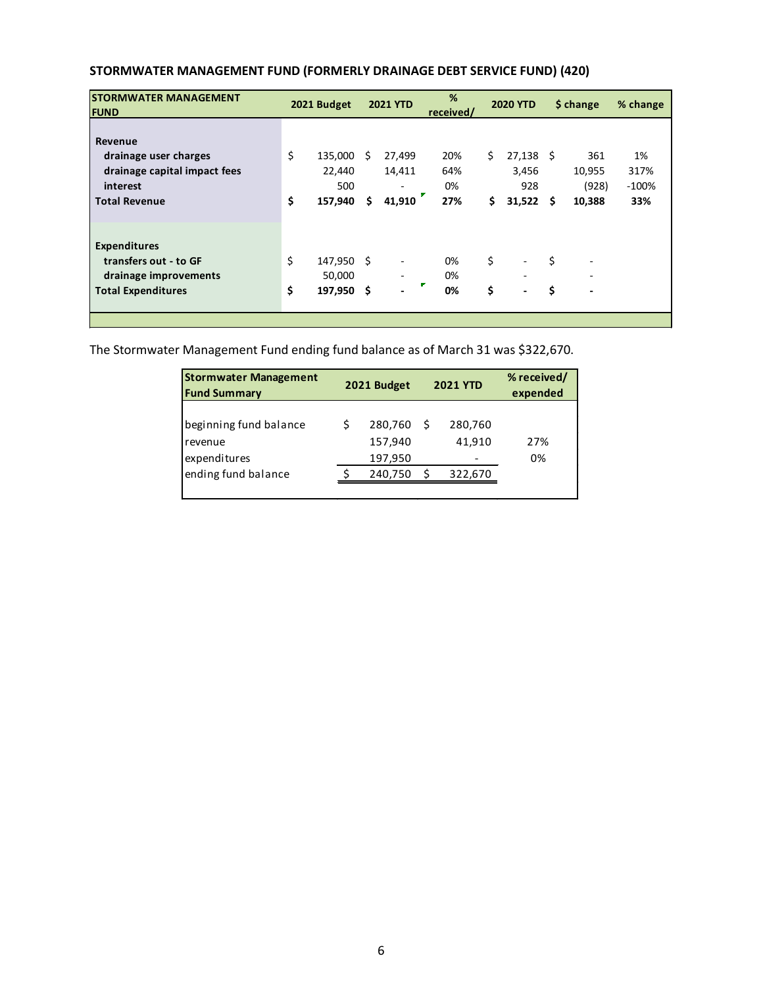| <b>ISTORMWATER MANAGEMENT</b><br><b>FUND</b>                                                         |          | 2021 Budget                         |           | <b>2021 YTD</b>                 | %<br>received/          |           | <b>2020 YTD</b>                       |          | \$ change                                       | % change                     |
|------------------------------------------------------------------------------------------------------|----------|-------------------------------------|-----------|---------------------------------|-------------------------|-----------|---------------------------------------|----------|-------------------------------------------------|------------------------------|
| Revenue<br>drainage user charges<br>drainage capital impact fees<br>interest<br><b>Total Revenue</b> | \$<br>\$ | 135,000<br>22,440<br>500<br>157,940 | - S<br>\$ | 27,499<br>14,411<br>۰<br>41,910 | 20%<br>64%<br>0%<br>27% | Ś.<br>\$. | $27,138$ \$<br>3,456<br>928<br>31,522 | \$.      | 361<br>10,955<br>(928)<br>10,388                | 1%<br>317%<br>$-100%$<br>33% |
| <b>Expenditures</b><br>transfers out - to GF<br>drainage improvements<br><b>Total Expenditures</b>   | \$<br>\$ | 147,950 \$<br>50,000<br>197,950 \$  |           | $\overline{\phantom{0}}$<br>٠   | 0%<br>0%<br>0%          | \$<br>\$  | ۰<br>$\qquad \qquad \blacksquare$     | \$<br>\$ | $\overline{\phantom{a}}$<br>٠<br>$\blacksquare$ |                              |

## **STORMWATER MANAGEMENT FUND (FORMERLY DRAINAGE DEBT SERVICE FUND) (420)**

The Stormwater Management Fund ending fund balance as of March 31 was \$322,670.

| <b>Stormwater Management</b><br><b>Fund Summary</b> | 2021 Budget                   |   | <b>2021 YTD</b>   | % received/<br>expended |
|-----------------------------------------------------|-------------------------------|---|-------------------|-------------------------|
| beginning fund balance<br>revenue<br>expenditures   | 280,760<br>157,940<br>197,950 | Ŝ | 280,760<br>41,910 | 27%<br>0%               |
| ending fund balance                                 | 240,750                       |   | 322,670           |                         |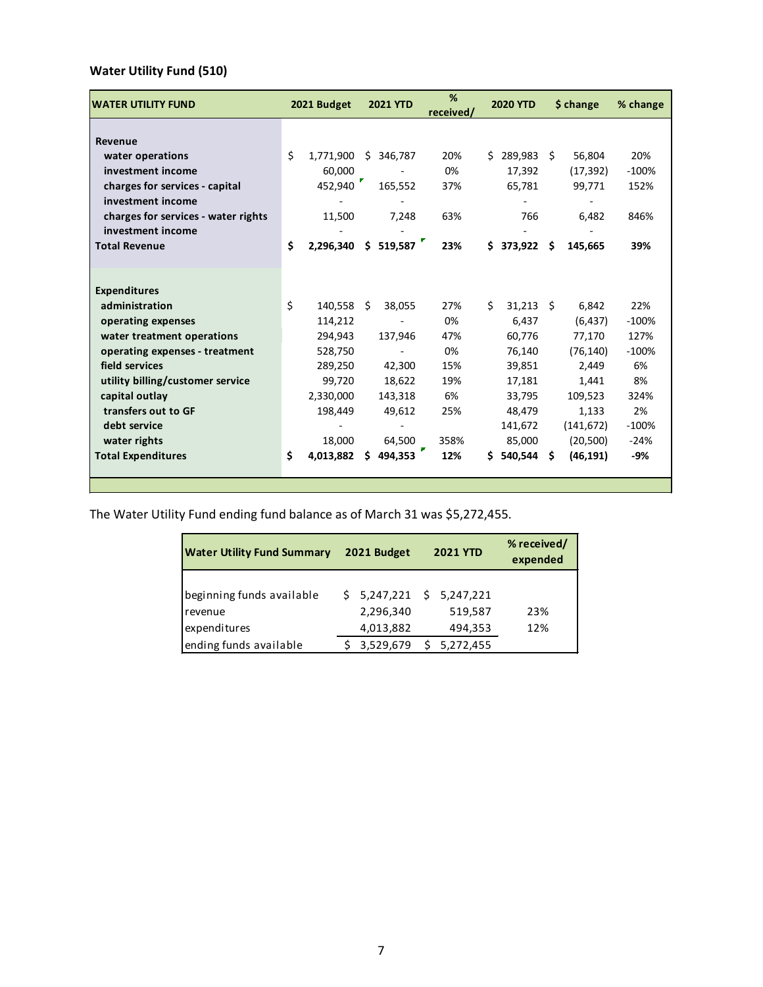# **Water Utility Fund (510)**

| <b>WATER UTILITY FUND</b>           |    | 2021 Budget |    | <b>2021 YTD</b> | %<br>received/ |    | <b>2020 YTD</b> |    | \$ change  | % change |
|-------------------------------------|----|-------------|----|-----------------|----------------|----|-----------------|----|------------|----------|
|                                     |    |             |    |                 |                |    |                 |    |            |          |
| Revenue                             |    |             |    |                 |                |    |                 |    |            |          |
| water operations                    | \$ | 1,771,900   | Ŝ. | 346,787         | 20%            |    | \$289,983\$     |    | 56,804     | 20%      |
| investment income                   |    | 60,000      |    |                 | 0%             |    | 17,392          |    | (17, 392)  | $-100%$  |
| charges for services - capital      |    | 452,940     |    | 165,552         | 37%            |    | 65,781          |    | 99,771     | 152%     |
| investment income                   |    |             |    |                 |                |    |                 |    |            |          |
| charges for services - water rights |    | 11,500      |    | 7,248           | 63%            |    | 766             |    | 6,482      | 846%     |
| investment income                   |    |             |    |                 |                |    |                 |    |            |          |
| <b>Total Revenue</b>                | \$ | 2,296,340   |    | $5\,519,587$    | 23%            | Ś. | 373,922         | \$ | 145,665    | 39%      |
|                                     |    |             |    |                 |                |    |                 |    |            |          |
|                                     |    |             |    |                 |                |    |                 |    |            |          |
| <b>Expenditures</b>                 |    |             |    |                 |                |    |                 |    |            |          |
| administration                      | \$ | 140,558     | Ŝ. | 38,055          | 27%            | Ś. | $31,213$ \$     |    | 6,842      | 22%      |
| operating expenses                  |    | 114,212     |    |                 | 0%             |    | 6,437           |    | (6, 437)   | $-100%$  |
| water treatment operations          |    | 294,943     |    | 137,946         | 47%            |    | 60,776          |    | 77,170     | 127%     |
| operating expenses - treatment      |    | 528,750     |    |                 | 0%             |    | 76,140          |    | (76, 140)  | $-100%$  |
| field services                      |    | 289,250     |    | 42,300          | 15%            |    | 39,851          |    | 2,449      | 6%       |
| utility billing/customer service    |    | 99,720      |    | 18,622          | 19%            |    | 17,181          |    | 1,441      | 8%       |
| capital outlay                      |    | 2,330,000   |    | 143,318         | 6%             |    | 33,795          |    | 109,523    | 324%     |
| transfers out to GF                 |    | 198,449     |    | 49,612          | 25%            |    | 48,479          |    | 1,133      | 2%       |
| debt service                        |    |             |    |                 |                |    | 141,672         |    | (141, 672) | $-100%$  |
| water rights                        |    | 18,000      |    | 64,500          | 358%           |    | 85,000          |    | (20, 500)  | $-24%$   |
| <b>Total Expenditures</b>           | Ś  | 4,013,882   | Ś. | 494,353         | 12%            | Ś. | 540,544         | Ŝ. | (46, 191)  | -9%      |
|                                     |    |             |    |                 |                |    |                 |    |            |          |
|                                     |    |             |    |                 |                |    |                 |    |            |          |

The Water Utility Fund ending fund balance as of March 31 was \$5,272,455.

| <b>Water Utility Fund Summary</b>                    | 2021 Budget                                         | <b>2021 YTD</b>    | % received/<br>expended |
|------------------------------------------------------|-----------------------------------------------------|--------------------|-------------------------|
| beginning funds available<br>revenue<br>expenditures | $$5,247,221$ $$5,247,221$<br>2,296,340<br>4,013,882 | 519,587<br>494,353 | 23%<br>12%              |
| ending funds available                               | 3,529,679                                           | 5,272,455          |                         |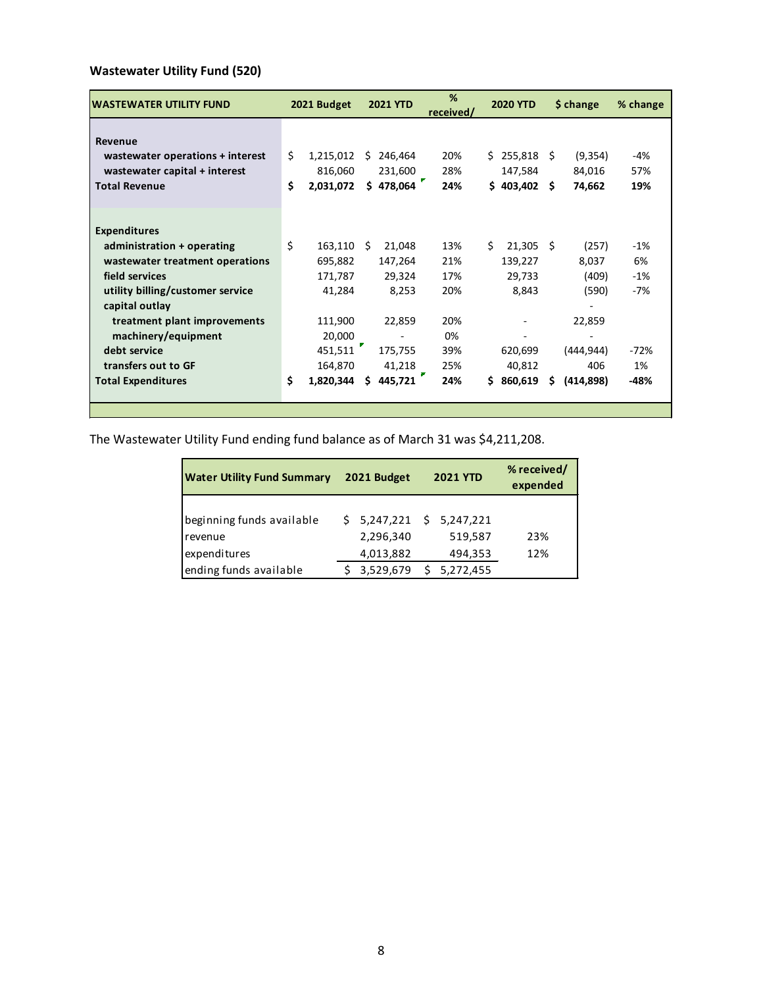# **Wastewater Utility Fund (520)**

| WASTEWATER UTILITY FUND          |    | 2021 Budget |      | <b>2021 YTD</b> | %<br>received/ |    | <b>2020 YTD</b> |     | \$ change | % change |
|----------------------------------|----|-------------|------|-----------------|----------------|----|-----------------|-----|-----------|----------|
|                                  |    |             |      |                 |                |    |                 |     |           |          |
| Revenue                          | Ś. |             |      |                 |                |    |                 |     |           |          |
| wastewater operations + interest |    | 1,215,012   | Ŝ.   | 246,464         | 20%            |    | \$255,818       |     | (9, 354)  | -4%      |
| wastewater capital + interest    |    | 816,060     |      | 231,600         | 28%            |    | 147,584         |     | 84,016    | 57%      |
| <b>Total Revenue</b>             | Ś  | 2,031,072   |      | \$478,064       | 24%            |    | \$403,402       | - Ś | 74,662    | 19%      |
|                                  |    |             |      |                 |                |    |                 |     |           |          |
|                                  |    |             |      |                 |                |    |                 |     |           |          |
| <b>Expenditures</b>              |    |             |      |                 |                |    |                 |     |           |          |
| administration + operating       | \$ | 163,110     | - \$ | 21,048          | 13%            | Ś. | $21,305$ \$     |     | (257)     | $-1%$    |
| wastewater treatment operations  |    | 695,882     |      | 147,264         | 21%            |    | 139,227         |     | 8,037     | 6%       |
| field services                   |    | 171,787     |      | 29,324          | 17%            |    | 29,733          |     | (409)     | $-1%$    |
| utility billing/customer service |    | 41,284      |      | 8,253           | 20%            |    | 8,843           |     | (590)     | -7%      |
| capital outlay                   |    |             |      |                 |                |    |                 |     |           |          |
| treatment plant improvements     |    | 111,900     |      | 22,859          | 20%            |    |                 |     | 22,859    |          |
| machinery/equipment              |    | 20,000      |      |                 | 0%             |    |                 |     |           |          |
| debt service                     |    | 451,511     |      | 175,755         | 39%            |    | 620,699         |     | (444,944) | -72%     |
| transfers out to GF              |    | 164,870     |      | 41,218          | 25%            |    | 40,812          |     | 406       | 1%       |
| <b>Total Expenditures</b>        | \$ | 1,820,344   | Ŝ.   | 445,721         | 24%            | Ś  | 860,619         | \$  | (414,898) | $-48%$   |
|                                  |    |             |      |                 |                |    |                 |     |           |          |
|                                  |    |             |      |                 |                |    |                 |     |           |          |

The Wastewater Utility Fund ending fund balance as of March 31 was \$4,211,208.

| <b>Water Utility Fund Summary</b>                                              | 2021 Budget                         | <b>2021 YTD</b>                                              | % received/<br>expended |  |  |
|--------------------------------------------------------------------------------|-------------------------------------|--------------------------------------------------------------|-------------------------|--|--|
| beginning funds available<br>revenue<br>expenditures<br>ending funds available | 2,296,340<br>4,013,882<br>3,529,679 | $$5,247,221$ $$5,247,221$<br>519,587<br>494,353<br>5,272,455 | 23%<br>12%              |  |  |